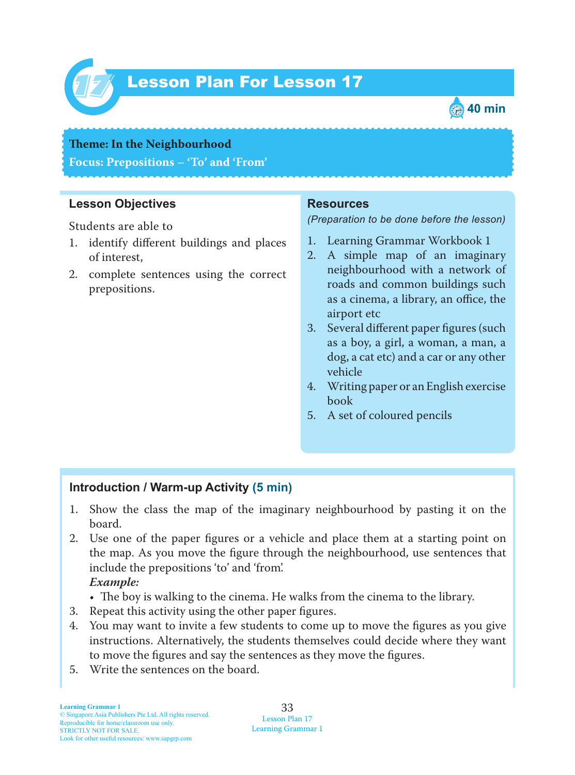

# Lesson Plan For Lesson 17 *17*



#### **Theme: In the Neighbourhood**

**Focus: Prepositions – 'To' and 'From'**

#### **Lesson Objectives**

Students are able to

- 1. identify different buildings and places of interest,
- 2. complete sentences using the correct prepositions.

#### **Resources**

*(Preparation to be done before the lesson)*

- 1. Learning Grammar Workbook 1
- 2. A simple map of an imaginary neighbourhood with a network of roads and common buildings such as a cinema, a library, an office, the airport etc
- 3. Several different paper figures (such as a boy, a girl, a woman, a man, a dog, a cat etc) and a car or any other vehicle
- 4. Writing paper or an English exercise book
- 5. A set of coloured pencils

## **Introduction / Warm-up Activity (5 min)**

- 1. Show the class the map of the imaginary neighbourhood by pasting it on the board.
- 2. Use one of the paper figures or a vehicle and place them at a starting point on the map. As you move the figure through the neighbourhood, use sentences that include the prepositions 'to' and 'from'.

#### *Example:*

- The boy is walking to the cinema. He walks from the cinema to the library.
- 3. Repeat this activity using the other paper figures.
- 4. You may want to invite a few students to come up to move the figures as you give instructions. Alternatively, the students themselves could decide where they want to move the figures and say the sentences as they move the figures.
- 5. Write the sentences on the board.

33 Lesson Plan 17 Learning Grammar 1